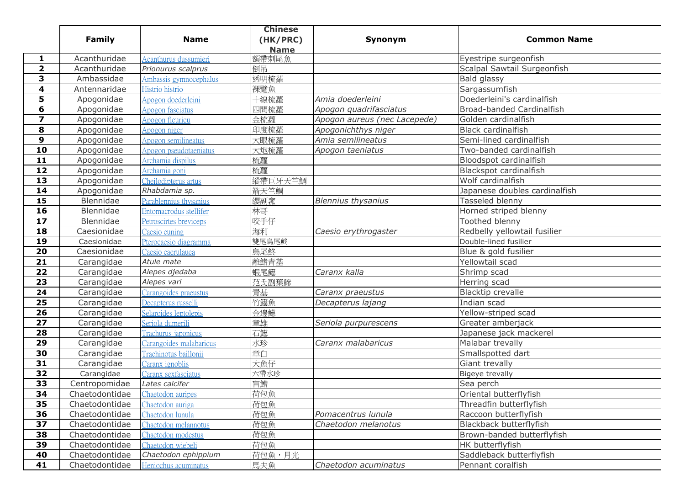|                         |                |                         | <b>Chinese</b> |                              |                               |
|-------------------------|----------------|-------------------------|----------------|------------------------------|-------------------------------|
|                         | <b>Family</b>  | <b>Name</b>             | (HK/PRC)       | Synonym                      | <b>Common Name</b>            |
|                         |                |                         | <b>Name</b>    |                              |                               |
| 1                       | Acanthuridae   | Acanthurus dussumieri   | 額帶刺尾魚          |                              | Eyestripe surgeonfish         |
| $\overline{\mathbf{2}}$ | Acanthuridae   | Prionurus scalprus      | 倒吊             |                              | Scalpal Sawtail Surgeonfish   |
| 3                       | Ambassidae     | Ambassis gymnocephalus  | 透明梳蘿           |                              | Bald glassy                   |
| 4                       | Antennaridae   | Histrio histrio         | 裸躄魚            |                              | Sargassumfish                 |
| 5                       | Apogonidae     | Apogon doederleini      | 十線梳蘿           | Amia doederleini             | Doederleini's cardinalfish    |
| 6                       | Apogonidae     | <b>Apogon</b> fasciatus | 四間梳蘿           | Apogon quadrifasciatus       | Broad-banded Cardinalfish     |
| $\overline{\mathbf{z}}$ | Apogonidae     | Apogon fleurieu         | 金梳蘿            | Apogon aureus (nec Lacepede) | Golden cardinalfish           |
| 8                       | Apogonidae     | Apogon niger            | 印度梳蘿           | Apogonichthys niger          | <b>Black cardinalfish</b>     |
| 9                       | Apogonidae     | Apogon semilineatus     | 大眼梳蘿           | Amia semilineatus            | Semi-lined cardinalfish       |
| 10                      | Apogonidae     | Apogon pseudotaeniatus  | 大炮梳蘿           | Apogon taeniatus             | Two-banded cardinalfish       |
| 11                      | Apogonidae     | Archamia dispilus       | 梳蘿             |                              | Bloodspot cardinalfish        |
| 12                      | Apogonidae     | Archamia goni           | 梳蘿             |                              | Blackspot cardinalfish        |
| 13                      | Apogonidae     | Cheilodipterus artus    | 縱帶巨牙天竺鯛        |                              | Wolf cardinalfish             |
| 14                      | Apogonidae     | Rhabdamia sp.           | 箭天竺鯛           |                              | Japanese doubles cardinalfish |
| 15                      | Blennidae      | Parablennius thysanius  | 纓副嵞            | <b>Blennius thysanius</b>    | Tasseled blenny               |
| 16                      | Blennidae      | Entomacrodus stellifer  | 林哥             |                              | Horned striped blenny         |
| 17                      | Blennidae      | Petroscirtes breviceps  | 咬手仔            |                              | Toothed blenny                |
| 18                      | Caesionidae    | Caesio cuning           | 海利             | Caesio erythrogaster         | Redbelly yellowtail fusilier  |
| 19                      | Caesionidae    | Pterocaesio diagramma   | 雙尾烏尾鮗          |                              | Double-lined fusilier         |
| 20                      | Caesionidae    | Caesio caerulauea       | 烏尾鮗            |                              | Blue & gold fusilier          |
| 21                      | Carangidae     | Atule mate              | 離鰭青基           |                              | Yellowtail scad               |
| 22                      | Carangidae     | Alepes djedaba          | 蝦尾鱁            | Caranx kalla                 | Shrimp scad                   |
| 23                      | Carangidae     | Alepes vari             | 范氏副葉鰺          |                              | Herring scad                  |
| 24                      | Carangidae     | Carangoides praeustus   | 青基             | Caranx praeustus             | Blacktip crevalle             |
| 25                      | Carangidae     | Decapterus russelli     | 竹鱁魚            | Decapterus lajang            | Indian scad                   |
| 26                      | Carangidae     | Selaroides leptolepis   | 金邊鱁            |                              | Yellow-striped scad           |
| 27                      | Carangidae     | Seriola dumerili        | 章雄             | Seriola purpurescens         | Greater amberjack             |
| 28                      | Carangidae     | Trachurus japonicus     | 石鱁             |                              | Japanese jack mackerel        |
| 29                      | Carangidae     | Carangoides malabaricus | 水珍             | Caranx malabaricus           | Malabar trevally              |
| 30                      | Carangidae     | Trachinotus baillonii   | 章白             |                              | Smallspotted dart             |
| 31                      | Carangidae     | Caranx ignoblis         | 大魚仔            |                              | Giant trevally                |
| 32                      | Carangidae     | Caranx sexfasciatus     | 六帶水珍           |                              | <b>Bigeye trevally</b>        |
| 33                      | Centropomidae  | Lates calcifer          | 盲鰽             |                              | Sea perch                     |
| 34                      | Chaetodontidae | Chaetodon auripes       | 荷包魚            |                              | Oriental butterflyfish        |
| 35                      | Chaetodontidae | Chaetodon auriga        | 荷包魚            |                              | Threadfin butterflyfish       |
| 36                      | Chaetodontidae | Chaetodon lunula        | 荷包魚            | Pomacentrus lunula           | Raccoon butterflyfish         |
| 37                      | Chaetodontidae | Chaetodon melannotus    | 荷包魚            | Chaetodon melanotus          | Blackback butterflyfish       |
| 38                      | Chaetodontidae | Chaetodon modestus      | 荷包魚            |                              | Brown-banded butterflyfish    |
| 39                      | Chaetodontidae | Chaetodon wiebeli       | 荷包魚            |                              | HK butterflyfish              |
| 40                      | Chaetodontidae | Chaetodon ephippium     | 荷包魚,月光         |                              | Saddleback butterflyfish      |
| 41                      | Chaetodontidae | Heniochus acuminatus    | 馬夫魚            | Chaetodon acuminatus         | Pennant coralfish             |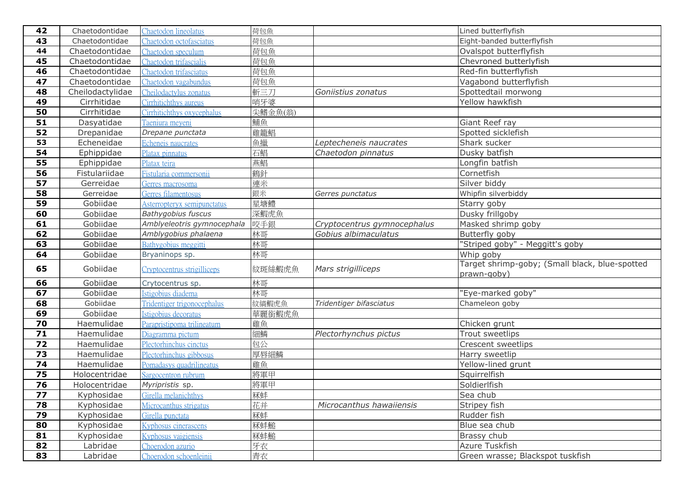| 42   | Chaetodontidae   | Chaetodon lineolatus        | 荷包魚     |                             | Lined butterflyfish                                           |
|------|------------------|-----------------------------|---------|-----------------------------|---------------------------------------------------------------|
| 43   | Chaetodontidae   | Chaetodon octofasciatus     | 荷包魚     |                             | Eight-banded butterflyfish                                    |
| 44   | Chaetodontidae   | Chaetodon speculum          | 荷包魚     |                             | Ovalspot butterflyfish                                        |
| 45   | Chaetodontidae   | Chaetodon trifascialis      | 荷包魚     |                             | Chevroned butterlyfish                                        |
| 46   | Chaetodontidae   | Chaetodon trifasciatus      | 荷包魚     |                             | Red-fin butterflyfish                                         |
| 47   | Chaetodontidae   | Chaetodon vagabundus        | 荷包魚     |                             | Vagabond butterflyfish                                        |
| 48   | Cheilodactylidae | Cheilodactylus zonatus      | 斬三刀     | Goniistius zonatus          | Spottedtail morwong                                           |
| 49   | Cirrhitidae      | Cirrhitichthys aureus       | 哨牙婆     |                             | Yellow hawkfish                                               |
| 50   | Cirrhitidae      | Cirrhitichthys oxycephalus  | 尖鰭金魚(翁) |                             |                                                               |
| 51   | Dasyatidae       | Taeniura meyeni             | 鯆魚      |                             | Giant Reef ray                                                |
| 52   | Drepanidae       | Drepane punctata            | 雞籠鯧     |                             | Spotted sicklefish                                            |
| 53   | Echeneidae       | Echeneis naucrates          | 魚擸      | Leptecheneis naucrates      | Shark sucker                                                  |
| 54   | Ephippidae       | Platax pinnatus             | 石鯧      | Chaetodon pinnatus          | Dusky batfish                                                 |
| 55   | Ephippidae       | Platax teira                | 燕鯧      |                             | Longfin batfish                                               |
| 56   | Fistulariidae    | Fistularia commersonii      | 鶴針      |                             | Cornetfish                                                    |
| 57   | Gerreidae        | Gerres macrosoma            | 連米      |                             | Silver biddy                                                  |
| 58   | Gerreidae        | Gerres filamentosus         | 銀米      | Gerres punctatus            | Whipfin silverbiddy                                           |
| 59   | Gobiidae         | Asterropteryx semipunctatus | 星塘鱧     |                             | Starry goby                                                   |
| 60   | Gobiidae         | <b>Bathygobius fuscus</b>   | 深鰕虎魚    |                             | Dusky frillgoby                                               |
| 61   | Gobiidae         | Amblyeleotris gymnocephala  | 咬手銀     | Cryptocentrus gymnocephalus | Masked shrimp goby                                            |
| 62   | Gobiidae         | Amblygobius phalaena        | 林哥      | Gobius albimaculatus        | Butterfly goby                                                |
| 63   | Gobiidae         | Bathygobius meggitti        | 林哥      |                             | "Striped goby" - Meggitt's goby                               |
| 64   | Gobiidae         | Bryaninops sp.              | 林哥      |                             | Whip goby                                                     |
| 65   | Gobiidae         | Cryptocentrus strigilliceps | 紋斑絲鰕虎魚  | Mars strigilliceps          | Target shrimp-goby; (Small black, blue-spotted<br>prawn-goby) |
| 66   | Gobiidae         | Crytocentrus sp.            | 林哥      |                             |                                                               |
| 67   | Gobiidae         | Istigobius diadema          | 林哥      |                             | 'Eye-marked goby"                                             |
| 68   | Gobiidae         | Tridentiger trigonocephalus | 紋縞鰕虎魚   | Tridentiger bifasciatus     | Chameleon goby                                                |
| 69   | Gobiidae         | Istigobius decoratus        | 華麗銜鰕虎魚  |                             |                                                               |
| 70   | Haemulidae       | Parapristipoma trilineatum  | 雞魚      |                             | Chicken grunt                                                 |
| $71$ | Haemulidae       | Diagramma pictum            | 細鱗      | Plectorhynchus pictus       | Trout sweetlips                                               |
| 72   | Haemulidae       | Plectorhinchus cinctus      | 包公      |                             | Crescent sweetlips                                            |
| 73   | Haemulidae       | Plectorhinchus gibbosus     | 厚唇細鱗    |                             | Harry sweetlip                                                |
| 74   | Haemulidae       | Pomadasys quadrilineatus    | 雞魚      |                             | Yellow-lined grunt                                            |
| 75   | Holocentridae    | Sargocentron rubrum         | 將軍甲     |                             | Squirrelfish                                                  |
| 76   | Holocentridae    | Myripristis sp.             | 將軍甲     |                             | Soldierlfish                                                  |
| 77   | Kyphosidae       | Girella melanichthys        | 冧蚌      |                             | Sea chub                                                      |
| 78   | Kyphosidae       | Microcanthus strigatus      | 花并      | Microcanthus hawaiiensis    | Stripey fish                                                  |
| 79   | Kyphosidae       | Girella punctata            | 冧蚌      |                             | Rudder fish                                                   |
| 80   | Kyphosidae       | Kyphosus cinerascens        | 冧蚌鎚     |                             | Blue sea chub                                                 |
| 81   | Kyphosidae       | Kyphosus vaigiensis         | 冧蚌鎚     |                             | Brassy chub                                                   |
| 82   | Labridae         | Choerodon azurio            | 牙衣      |                             | Azure Tuskfish                                                |
| 83   | Labridae         | Choerodon schoenleinii      | 青衣      |                             | Green wrasse; Blackspot tuskfish                              |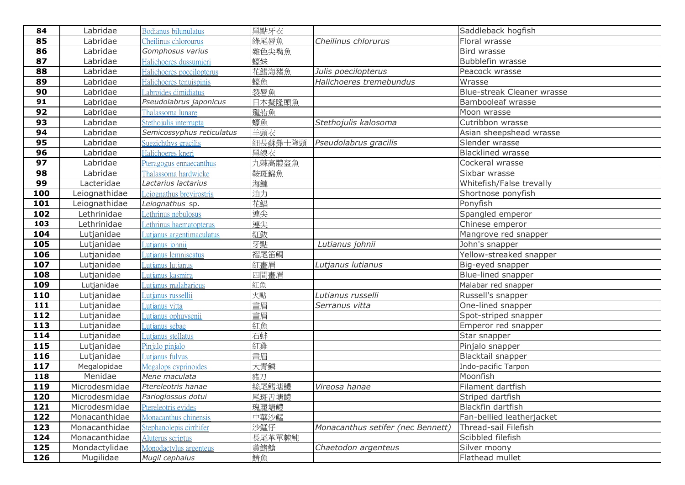| 84  | Labridae      | Bodianus bilunulatus        | 黑點牙衣    |                                   | Saddleback hogfish         |
|-----|---------------|-----------------------------|---------|-----------------------------------|----------------------------|
| 85  | Labridae      | Cheilinus chlorourus        | 綠尾唇魚    | Cheilinus chlorurus               | Floral wrasse              |
| 86  | Labridae      | Gomphosus varius            | 雜色尖嘴魚   |                                   | Bird wrasse                |
| 87  | Labridae      | Halichoeres dussumieri      | 蠔妹      |                                   | <b>Bubblefin wrasse</b>    |
| 88  | Labridae      | Halichoeres poecilopterus   | 花鰭海豬魚   | Julis poecilopterus               | Peacock wrasse             |
| 89  | Labridae      | Halichoeres tenuispinis     | 蠔魚      | Halichoeres tremebundus           | Wrasse                     |
| 90  | Labridae      | abroides dimidiatus         | 裂唇魚     |                                   | Blue-streak Cleaner wrasse |
| 91  | Labridae      | Pseudolabrus japonicus      | 日本擬隆頭魚  |                                   | Bambooleaf wrasse          |
| 92  | Labridae      | Thalassoma lunare           | 龍船魚     |                                   | Moon wrasse                |
| 93  | Labridae      | Stethojulis interrupta      | 蠔魚      | Stethojulis kalosoma              | Cutribbon wrasse           |
| 94  | Labridae      | Semicossyphus reticulatus   | 羊頭衣     |                                   | Asian sheepshead wrasse    |
| 95  | Labridae      | Suezichthys gracilis        | 細長蘇彝士隆頭 | Pseudolabrus gracilis             | Slender wrasse             |
| 96  | Labridae      | Halichoeres kneri           | 黑線衣     |                                   | <b>Blacklined wrasse</b>   |
| 97  | Labridae      | Pteragogus ennaecanthus     | 九棘高體盔魚  |                                   | Cockeral wrasse            |
| 98  | Labridae      | Thalassoma hardwicke        | 鞍斑錦魚    |                                   | Sixbar wrasse              |
| 99  | Lacteridae    | Lactarius lactarius         | 海鰱      |                                   | Whitefish/False trevally   |
| 100 | Leiognathidae | Leiognathus brevirostris    | 油力      |                                   | Shortnose ponyfish         |
| 101 | Leiognathidae | Leiognathus sp.             | 花鯧      |                                   | Ponyfish                   |
| 102 | Lethrinidae   | Lethrinus nebulosus         | 連尖      |                                   | Spangled emperor           |
| 103 | Lethrinidae   | ethrinus haematopterus      | 連尖      |                                   | Chinese emperor            |
| 104 | Lutjanidae    | Lutjanus argentimaculatus   | 紅魬      |                                   | Mangrove red snapper       |
| 105 | Lutjanidae    | Lutjanus johnii             | 牙點      | Lutianus johnii                   | John's snapper             |
| 106 | Lutjanidae    | Lutjanus lemniscatus        | 褶尾笛鯛    |                                   | Yellow-streaked snapper    |
| 107 | Lutjanidae    | Lutjanus lutjanus           | 紅畫眉     | Lutjanus lutianus                 | Big-eyed snapper           |
| 108 | Lutjanidae    | utianus kasmira             | 四間畫眉    |                                   | Blue-lined snapper         |
| 109 | Lutjanidae    | utjanus malabaricus         | 紅魚      |                                   | Malabar red snapper        |
| 110 | Lutjanidae    | utjanus russellii           | 火點      | Lutianus russelli                 | Russell's snapper          |
| 111 | Lutjanidae    | Lutjanus vitta              | 畫眉      | Serranus vitta                    | One-lined snapper          |
| 112 | Lutjanidae    | Lutjanu <u>s ophuysenii</u> | 畫眉      |                                   | Spot-striped snapper       |
| 113 | Lutjanidae    | Lutjanus sebae              | 紅魚      |                                   | Emperor red snapper        |
| 114 | Lutjanidae    | Lutjanus stellatus          | 石蚌      |                                   | Star snapper               |
| 115 | Lutjanidae    | Pinjalo pinjalo             | 紅雞      |                                   | Pinjalo snapper            |
| 116 | Lutjanidae    | Lutianus fulvus             | 畫眉      |                                   | Blacktail snapper          |
| 117 | Megalopidae   | Megalops cyprinoides        | 大青鱗     |                                   | Indo-pacific Tarpon        |
| 118 | Menidae       | Mene maculata               | 豬刀      |                                   | Moonfish                   |
| 119 | Microdesmidae | Ptereleotris hanae          | 絲尾鰭塘鱧   | Vireosa hanae                     | Filament dartfish          |
| 120 | Microdesmidae | Parioglossus dotui          | 尾斑舌塘鱧   |                                   | Striped dartfish           |
| 121 | Microdesmidae | Ptereleotris evides         | 瑰麗塘鱧    |                                   | <b>Blackfin dartfish</b>   |
| 122 | Monacanthidae | Monacanthus chinensis       | 中華沙鯭    |                                   | Fan-bellied leatherjacket  |
| 123 | Monacanthidae | Stephanolepis cirrhifer     | 沙鯭仔     | Monacanthus setifer (nec Bennett) | Thread-sail Filefish       |
| 124 | Monacanthidae | Aluterus scriptus           | 長尾革單棘魨  |                                   | Scibbled filefish          |
| 125 | Mondactylidae | Monodactylus argenteus      | 黃鰭鱸     | Chaetodon argenteus               | Silver moony               |
| 126 | Mugilidae     | Mugil cephalus              | 鱭魚      |                                   | Flathead mullet            |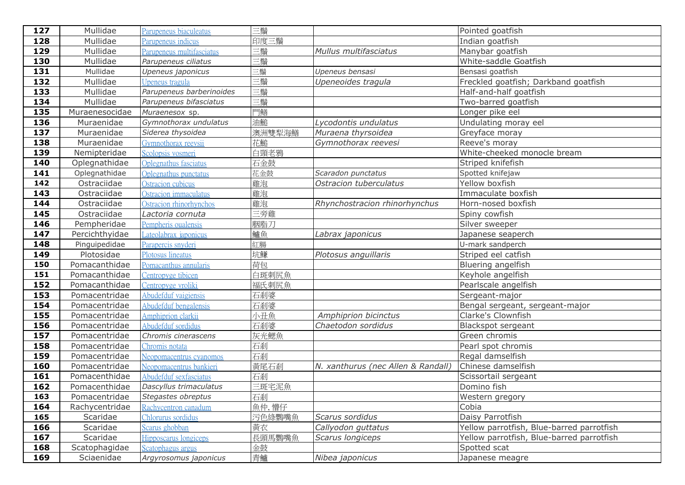| 127 | Mullidae       | Parupeneus biaculeatus       | 三鬚     |                                   | Pointed goatfish                          |
|-----|----------------|------------------------------|--------|-----------------------------------|-------------------------------------------|
| 128 | Mullidae       | Parupeneus indicus           | 印度三鬚   |                                   | Indian goatfish                           |
| 129 | Mullidae       | Parupeneus multifasciatus    | 三鬚     | Mullus multifasciatus             | Manybar goatfish                          |
| 130 | Mullidae       | Parupeneus ciliatus          | 三鬚     |                                   | White-saddle Goatfish                     |
| 131 | Mullidae       | Upeneus japonicus            | 三鬚     | Upeneus bensasi                   | Bensasi goatfish                          |
| 132 | Mullidae       | Upeneus tragula              | 三鬚     | Upeneoides tragula                | Freckled goatfish; Darkband goatfish      |
| 133 | Mullidae       | Parupeneus barberinoides     | 三鬚     |                                   | Half-and-half goatfish                    |
| 134 | Mullidae       | Parupeneus bifasciatus       | 三鬚     |                                   | Two-barred goatfish                       |
| 135 | Muraenesocidae | Muraenesox sp.               | 門鱔     |                                   | Longer pike eel                           |
| 136 | Muraenidae     | Gymnothorax undulatus        | 油鎚     | Lycodontis undulatus              | Undulating moray eel                      |
| 137 | Muraenidae     | Siderea thysoidea            | 澳洲雙犁海鱔 | Muraena thyrsoidea                | Greyface moray                            |
| 138 | Muraenidae     | Gymnothorax reevsii          | 花鮠     | Gymnothorax reevesi               | Reeve's moray                             |
| 139 | Nemipteridae   | Scolopsis vosmeri            | 白頸老鴉   |                                   | White-cheeked monocle bream               |
| 140 | Oplegnathidae  | <b>Oplegnathus fasciatus</b> | 石金鼓    |                                   | Striped knifefish                         |
| 141 | Oplegnathidae  | Oplegnathus punctatus        | 花金鼓    | Scaradon punctatus                | Spotted knifejaw                          |
| 142 | Ostraciidae    | Ostracion cubicus            | 雞泡     | Ostracion tuberculatus            | Yellow boxfish                            |
| 143 | Ostraciidae    | Ostracion immaculatus        | 雞泡     |                                   | Immaculate boxfish                        |
| 144 | Ostraciidae    | Ostracion rhinorhynchos      | 雞泡     | Rhynchostracion rhinorhynchus     | Horn-nosed boxfish                        |
| 145 | Ostraciidae    | Lactoria cornuta             | 三旁雞    |                                   | Spiny cowfish                             |
| 146 | Pempheridae    | Pempheris oualensis          | 胭脂刀    |                                   | Silver sweeper                            |
| 147 | Percichthyidae | Lateolabrax japonicus        | 鱸魚     | Labrax japonicus                  | Japanese seaperch                         |
| 148 | Pinguipedidae  | Parapercis snyderi           | 紅腸     |                                   | U-mark sandperch                          |
| 149 | Plotosidae     | Plotosus lineatus            | 坑鰜     | Plotosus anguillaris              | Striped eel catfish                       |
| 150 | Pomacanthidae  | Pomacanthus annularis        | 荷包     |                                   | Bluering angelfish                        |
| 151 | Pomacanthidae  | Centropyge tibicen           | 白斑刺尻魚  |                                   | Keyhole angelfish                         |
| 152 | Pomacanthidae  | Centropyge vroliki           | 福氏刺尻魚  |                                   | Pearlscale angelfish                      |
| 153 | Pomacentridae  | Abudefduf vaigiensis         | 石剎婆    |                                   | Sergeant-major                            |
| 154 | Pomacentridae  | Abudefduf bengalensis        | 石剎婆    |                                   | Bengal sergeant, sergeant-major           |
| 155 | Pomacentridae  | Amphiprion clarkii           | 小丑魚    | Amphiprion bicinctus              | Clarke's Clownfish                        |
| 156 | Pomacentridae  | Abudefduf sordidus           | 石剎婆    | Chaetodon sordidus                | Blackspot sergeant                        |
| 157 | Pomacentridae  | Chromis cinerascens          | 灰光鰓魚   |                                   | Green chromis                             |
| 158 | Pomacentridae  | Chromis notata               | 石剎     |                                   | Pearl spot chromis                        |
| 159 | Pomacentridae  | Neopomacentrus cyanomos      | 石剎     |                                   | Regal damselfish                          |
| 160 | Pomacentridae  | Neopomacentrus bankieri      | 黄尾石剎   | N. xanthurus (nec Allen & Randall | Chinese damselfish                        |
| 161 | Pomacenthidae  | Abudefduf sexfasciatus       | 石剎     |                                   | Scissortail sergeant                      |
| 162 | Pomacenthidae  | Dascyllus trimaculatus       | 三斑宅泥魚  |                                   | Domino fish                               |
| 163 | Pomacentridae  | Stegastes obreptus           | 石剎     |                                   | Western gregory                           |
| 164 | Rachycentridae | Rachycentron canadum         | 魚仲, 懵仔 |                                   | Cobia                                     |
| 165 | Scaridae       | Chlorurus sordidus           | 污色綠鸚嘴魚 | Scarus sordidus                   | Daisy Parrotfish                          |
| 166 | Scaridae       | Scarus ghobban               | 黄衣     | Callyodon guttatus                | Yellow parrotfish, Blue-barred parrotfish |
| 167 | Scaridae       | Hipposcarus longiceps        | 長頭馬鸚嘴魚 | Scarus longiceps                  | Yellow parrotfish, Blue-barred parrotfish |
| 168 | Scatophagidae  | Scatophagus argus            | 金鼓     |                                   | Spotted scat                              |
| 169 | Sciaenidae     | Argyrosomus japonicus        | 青鱸     | Nibea japonicus                   | Japanese meagre                           |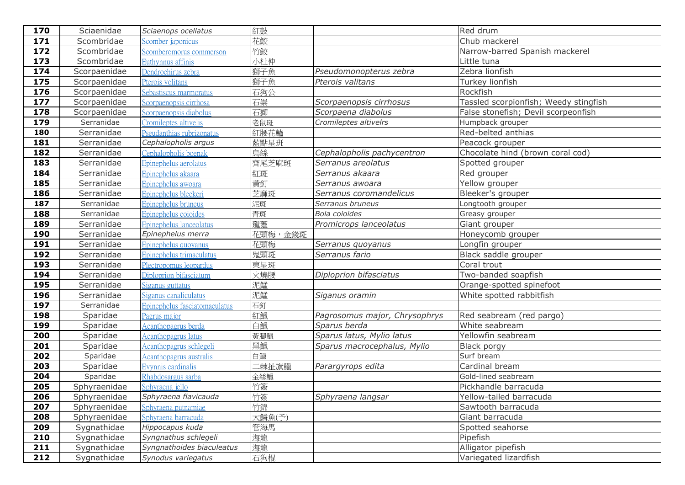| 170 | Sciaenidae   | Sciaenops ocellatus           | 紅鼓                  |                               | Red drum                              |
|-----|--------------|-------------------------------|---------------------|-------------------------------|---------------------------------------|
| 171 | Scombridae   | Scomber japonicus             | 花鮫                  |                               | Chub mackerel                         |
| 172 | Scombridae   | Scomberomorus commerson       | 竹鮫                  |                               | Narrow-barred Spanish mackerel        |
| 173 | Scombridae   | Euthynnus affinis             | 小杜仲                 |                               | Little tuna                           |
| 174 | Scorpaenidae | Dendrochirus zebra            | 獅子魚                 | Pseudomonopterus zebra        | Zebra lionfish                        |
| 175 | Scorpaenidae | Pterois volitans              | 獅子魚                 | Pterois valitans              | Turkey lionfish                       |
| 176 | Scorpaenidae | Sebastiscus marmoratus        | 石狗公                 |                               | Rockfish                              |
| 177 | Scorpaenidae | Scorpaenopsis cirrhosa        | 石崇                  | Scorpaenopsis cirrhosus       | Tassled scorpionfish; Weedy stingfish |
| 178 | Scorpaenidae | Scorpaenopsis diabolus        | 石獅                  | Scorpaena diabolus            | False stonefish; Devil scorpeonfish   |
| 179 | Serranidae   | Cromileptes altivelis         | 老鼠斑                 | Cromileptes altivelrs         | Humpback grouper                      |
| 180 | Serranidae   | Pseudanthias rubrizonatus     | 紅腰花鱸                |                               | Red-belted anthias                    |
| 181 | Serranidae   | Cephalopholis argus           | 藍點星班                |                               | Peacock grouper                       |
| 182 | Serranidae   | Cephalopholis boenak          | 烏絲                  | Cephalopholis pachycentron    | Chocolate hind (brown coral cod)      |
| 183 | Serranidae   | Epinephelus aerolatus         | 齊尾芝麻斑               | Serranus areolatus            | Spotted grouper                       |
| 184 | Serranidae   | Epinephelus akaara            | 紅斑                  | Serranus akaara               | Red grouper                           |
| 185 | Serranidae   | Epinephelus awoara            | 黃釘                  | Serranus awoara               | Yellow grouper                        |
| 186 | Serranidae   | Epinephelus bleekeri          | 芝麻斑                 | Serranus coromandelicus       | Bleeker's grouper                     |
| 187 | Serranidae   | Epinephelus bruneus           | 泥斑                  | Serranus bruneus              | Longtooth grouper                     |
| 188 | Serranidae   | Epinephelus coioides          | 青斑                  | Bola coioides                 | Greasy grouper                        |
| 189 | Serranidae   | Epinephelus lanceolatus       | 龍躉                  | Promicrops lanceolatus        | Giant grouper                         |
| 190 | Serranidae   | Epinephelus merra             | 花頭梅,金錢斑             |                               | Honeycomb grouper                     |
| 191 | Serranidae   | Epinephelus quoyanus          | 花頭梅                 | Serranus quoyanus             | Longfin grouper                       |
| 192 | Serranidae   | Epinephelus trimaculatus      | 鬼頭斑                 | Serranus fario                | Black saddle grouper                  |
| 193 | Serranidae   | Plectropomus leopardus        | 東星斑                 |                               | Coral trout                           |
| 194 | Serranidae   | Diploprion bifasciatum        | 火燒腰                 | Diploprion bifasciatus        | Two-banded soapfish                   |
| 195 | Serranidae   | Siganus guttatus              | 泥鯭                  |                               | Orange-spotted spinefoot              |
| 196 | Serranidae   | Siganus canaliculatus         | 泥鯭                  | Siganus oramin                | White spotted rabbitfish              |
| 197 | Serranidae   | Epinephelus fasciatomaculatus | 石釘                  |                               |                                       |
| 198 | Sparidae     | Pagrus major                  | 紅鱲                  | Pagrosomus major, Chrysophrys | Red seabream (red pargo)              |
| 199 | Sparidae     | Acanthopagrus berda           | 白鱲                  | Sparus berda                  | White seabream                        |
| 200 | Sparidae     | Acanthopagrus latus           | 黃腳鱲                 | Sparus latus, Mylio latus     | Yellowfin seabream                    |
| 201 | Sparidae     | Acanthopagrus schlegeli       | 黑鱲                  | Sparus macrocephalus, Mylio   | <b>Black porgy</b>                    |
| 202 | Sparidae     | Acanthopagrus australis       | 白鱲                  |                               | Surf bream                            |
| 203 | Sparidae     | Evynnis cardinalis            | --<br>二棘扯 <u>旗鱲</u> | Parargyrops edita             | Cardinal bream                        |
| 204 | Sparidae     | Rhabdosargus sarba            | 金絲鱲                 |                               | Gold-lined seabream                   |
| 205 | Sphyraenidae | Sphyraena jello               | 竹簽                  |                               | Pickhandle barracuda                  |
| 206 | Sphyraenidae | Sphyraena flavicauda          | 竹簽                  | Sphyraena langsar             | Yellow-tailed barracuda               |
| 207 | Sphyraenidae | Sphyraena putnamiae           | 竹錦                  |                               | Sawtooth barracuda                    |
| 208 | Sphyraenidae | Sphyraena barracuda           | 大鱗魚(予)              |                               | Giant barracuda                       |
| 209 | Sygnathidae  | Hippocapus kuda               | 管海馬                 |                               | Spotted seahorse                      |
| 210 | Sygnathidae  | Syngnathus schlegeli          | 海龍                  |                               | Pipefish                              |
| 211 | Sygnathidae  | Syngnathoides biaculeatus     | 海龍                  |                               | Alligator pipefish                    |
| 212 | Sygnathidae  | Synodus variegatus            | 石狗棍                 |                               | Variegated lizardfish                 |